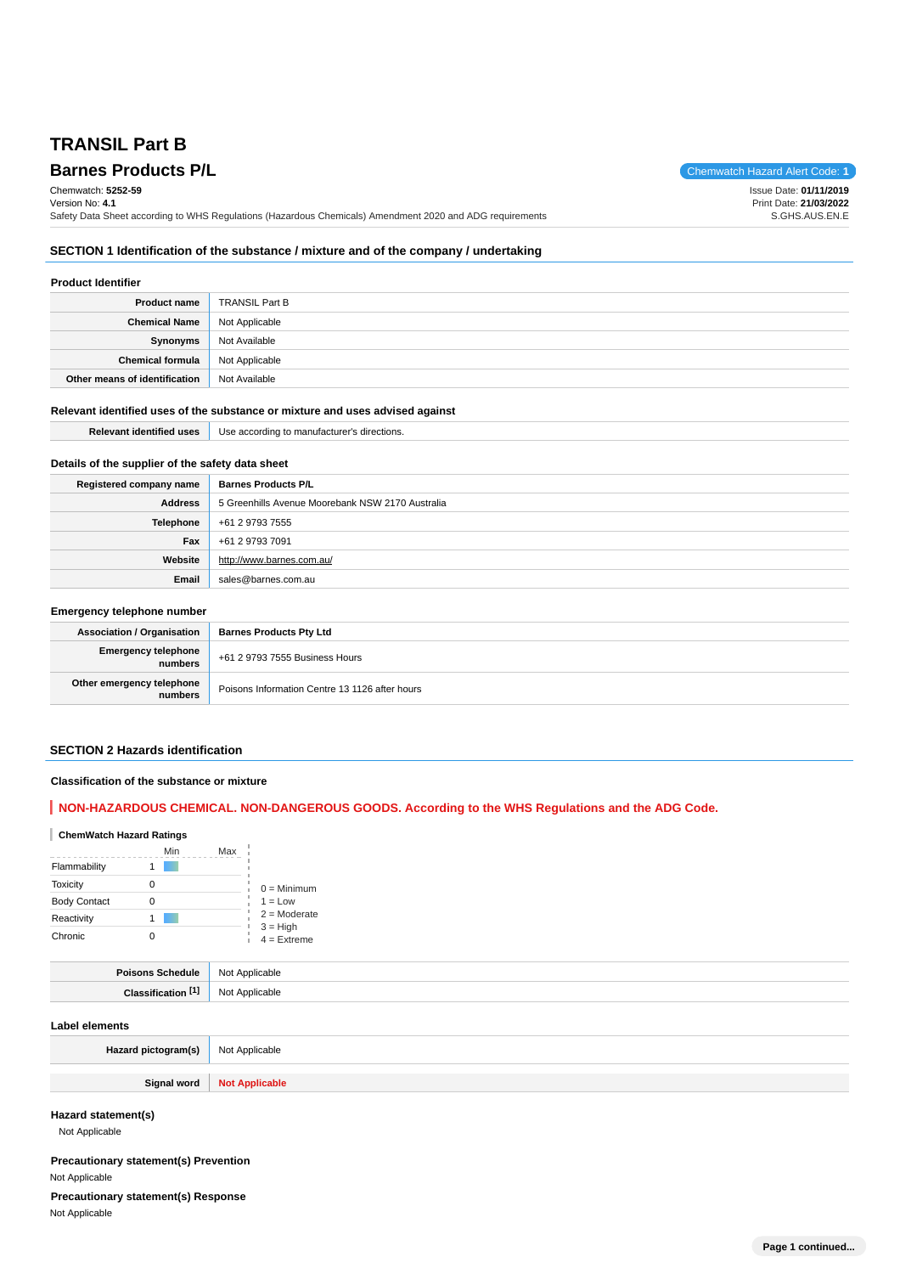# **TRANSIL Part B**

# **Barnes Products P/L Chemwatch Hazard Alert Code: 1**

Issue Date: **01/11/2019** Print Date: **21/03/2022** S.GHS.AUS.EN.E

**SECTION 1 Identification of the substance / mixture and of the company / undertaking**

Safety Data Sheet according to WHS Regulations (Hazardous Chemicals) Amendment 2020 and ADG requirements

#### **Product Identifier**

Chemwatch: **5252-59** Version No: **4.1**

| <b>Product name</b>           | <b>TRANSIL Part B</b> |
|-------------------------------|-----------------------|
| <b>Chemical Name</b>          | Not Applicable        |
| Synonyms                      | Not Available         |
| <b>Chemical formula</b>       | Not Applicable        |
| Other means of identification | Not Available         |

#### **Relevant identified uses of the substance or mixture and uses advised against**

|                                                  | <b>Relevant identified uses</b> Use according to manufacturer's directions. |  |
|--------------------------------------------------|-----------------------------------------------------------------------------|--|
|                                                  |                                                                             |  |
| Details of the supplier of the safety data sheet |                                                                             |  |

| Registered company name | <b>Barnes Products P/L</b>                       |
|-------------------------|--------------------------------------------------|
| Address                 | 5 Greenhills Avenue Moorebank NSW 2170 Australia |
| Telephone               | +61 2 9793 7555                                  |
| Fax                     | +61 2 9793 7091                                  |
| Website                 | http://www.barnes.com.au/                        |
| Email                   | sales@barnes.com.au                              |

#### **Emergency telephone number**

| <b>Association / Organisation</b>    | <b>Barnes Products Pty Ltd</b>                 |
|--------------------------------------|------------------------------------------------|
| Emergency telephone<br>numbers       | +61 2 9793 7555 Business Hours                 |
| Other emergency telephone<br>numbers | Poisons Information Centre 13 1126 after hours |

#### **SECTION 2 Hazards identification**

#### **Classification of the substance or mixture**

# **NON-HAZARDOUS CHEMICAL. NON-DANGEROUS GOODS. According to the WHS Regulations and the ADG Code.**

# **ChemWatch Hazard Ratings**

|                     | Min | Max |                             |
|---------------------|-----|-----|-----------------------------|
| Flammability        |     |     |                             |
| <b>Toxicity</b>     | Ω   |     | $0 =$ Minimum               |
| <b>Body Contact</b> |     |     | $1 = Low$                   |
| Reactivity          |     |     | $2 =$ Moderate              |
| Chronic             |     |     | $3 = High$<br>$4 =$ Extreme |

| <b>Poisons Schedule</b> | Applicable<br><b>NIOt</b><br>$\sim$ $\sim$ |
|-------------------------|--------------------------------------------|
|                         | blicable                                   |
| .                       | <b>N<sub>IO</sub></b>                      |
| Clossific               | 1 Y V                                      |

#### **Label elements**

| Hazard pictogram(s) | Not Applicable        |
|---------------------|-----------------------|
| Signal word         | <b>Not Applicable</b> |

**Hazard statement(s)**

Not Applicable

# **Precautionary statement(s) Prevention** Not Applicable

**Precautionary statement(s) Response**

Not Applicable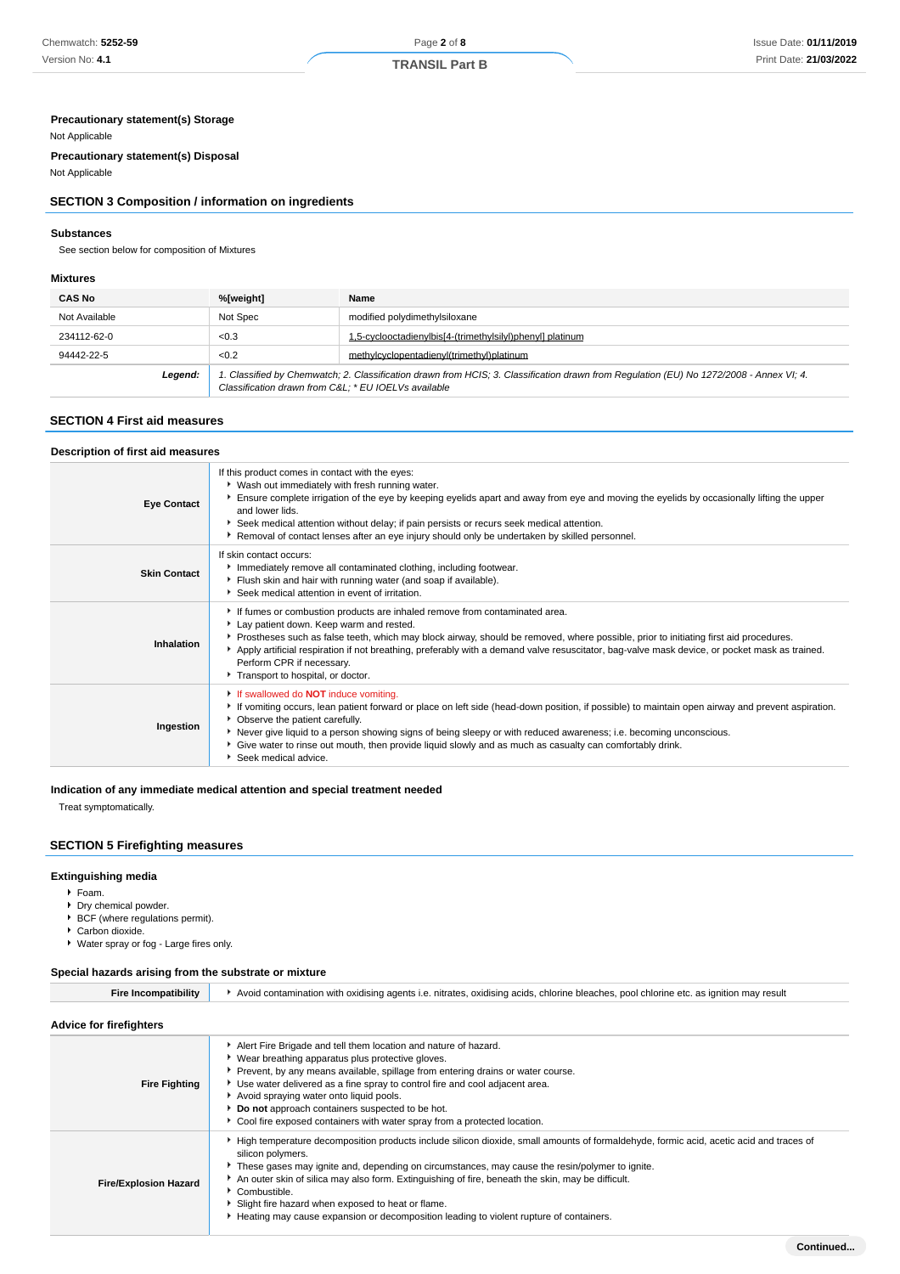# **Precautionary statement(s) Storage**

#### Not Applicable

**Precautionary statement(s) Disposal**

# Not Applicable

# **SECTION 3 Composition / information on ingredients**

#### **Substances**

See section below for composition of Mixtures

#### **Mixtures**

| <b>CAS No</b> | %[weight]                                                                                                                                                                                      | Name                                                      |
|---------------|------------------------------------------------------------------------------------------------------------------------------------------------------------------------------------------------|-----------------------------------------------------------|
| Not Available | Not Spec                                                                                                                                                                                       | modified polydimethylsiloxane                             |
| 234112-62-0   | < 0.3                                                                                                                                                                                          | 1,5-cyclooctadienylbis[4-(trimethylsilyl)phenyl] platinum |
| 94442-22-5    | < 0.2                                                                                                                                                                                          | methylcyclopentadienyl(trimethyl)platinum                 |
| Legend:       | 1. Classified by Chemwatch; 2. Classification drawn from HCIS; 3. Classification drawn from Requlation (EU) No 1272/2008 - Annex VI; 4.<br>Classification drawn from C&L * EU IOELVs available |                                                           |

# **SECTION 4 First aid measures**

#### **Description of first aid measures**

| <b>Eye Contact</b>  | If this product comes in contact with the eyes:<br>• Wash out immediately with fresh running water.<br>Ensure complete irrigation of the eye by keeping eyelids apart and away from eye and moving the eyelids by occasionally lifting the upper<br>and lower lids.<br>Seek medical attention without delay; if pain persists or recurs seek medical attention.<br>▶ Removal of contact lenses after an eye injury should only be undertaken by skilled personnel.                               |
|---------------------|--------------------------------------------------------------------------------------------------------------------------------------------------------------------------------------------------------------------------------------------------------------------------------------------------------------------------------------------------------------------------------------------------------------------------------------------------------------------------------------------------|
| <b>Skin Contact</b> | If skin contact occurs:<br>Immediately remove all contaminated clothing, including footwear.<br>Flush skin and hair with running water (and soap if available).<br>Seek medical attention in event of irritation.                                                                                                                                                                                                                                                                                |
| Inhalation          | If fumes or combustion products are inhaled remove from contaminated area.<br>Lay patient down. Keep warm and rested.<br>▶ Prostheses such as false teeth, which may block airway, should be removed, where possible, prior to initiating first aid procedures.<br>Apply artificial respiration if not breathing, preferably with a demand valve resuscitator, bag-valve mask device, or pocket mask as trained.<br>Perform CPR if necessary.<br>Transport to hospital, or doctor.               |
| Ingestion           | If swallowed do <b>NOT</b> induce vomiting.<br>If vomiting occurs, lean patient forward or place on left side (head-down position, if possible) to maintain open airway and prevent aspiration.<br>• Observe the patient carefully.<br>▶ Never give liquid to a person showing signs of being sleepy or with reduced awareness; i.e. becoming unconscious.<br>Give water to rinse out mouth, then provide liquid slowly and as much as casualty can comfortably drink.<br>▶ Seek medical advice. |

#### **Indication of any immediate medical attention and special treatment needed**

Treat symptomatically.

# **SECTION 5 Firefighting measures**

# **Extinguishing media**

- Foam.
- ▶ Dry chemical powder.
- ▶ BCF (where regulations permit).
- ▶ Carbon dioxide.
- ► Water spray or fog Large fires only.

#### **Special hazards arising from the substrate or mixture**

| <b>Fire Incompatibility</b>  | Avoid contamination with oxidising agents i.e. nitrates, oxidising acids, chlorine bleaches, pool chlorine etc. as ignition may result                                                                                                                                                                                                                                                                                                                                                                                                |  |  |
|------------------------------|---------------------------------------------------------------------------------------------------------------------------------------------------------------------------------------------------------------------------------------------------------------------------------------------------------------------------------------------------------------------------------------------------------------------------------------------------------------------------------------------------------------------------------------|--|--|
| Advice for firefighters      |                                                                                                                                                                                                                                                                                                                                                                                                                                                                                                                                       |  |  |
| <b>Fire Fighting</b>         | Alert Fire Brigade and tell them location and nature of hazard.<br>▶ Wear breathing apparatus plus protective gloves.<br>▶ Prevent, by any means available, spillage from entering drains or water course.<br>► Use water delivered as a fine spray to control fire and cool adjacent area.<br>Avoid spraying water onto liquid pools.<br>Do not approach containers suspected to be hot.<br>▶ Cool fire exposed containers with water spray from a protected location.                                                               |  |  |
| <b>Fire/Explosion Hazard</b> | ► High temperature decomposition products include silicon dioxide, small amounts of formaldehyde, formic acid, acetic acid and traces of<br>silicon polymers.<br>These gases may ignite and, depending on circumstances, may cause the resin/polymer to ignite.<br>An outer skin of silica may also form. Extinguishing of fire, beneath the skin, may be difficult.<br>Combustible.<br>Slight fire hazard when exposed to heat or flame.<br>► Heating may cause expansion or decomposition leading to violent rupture of containers. |  |  |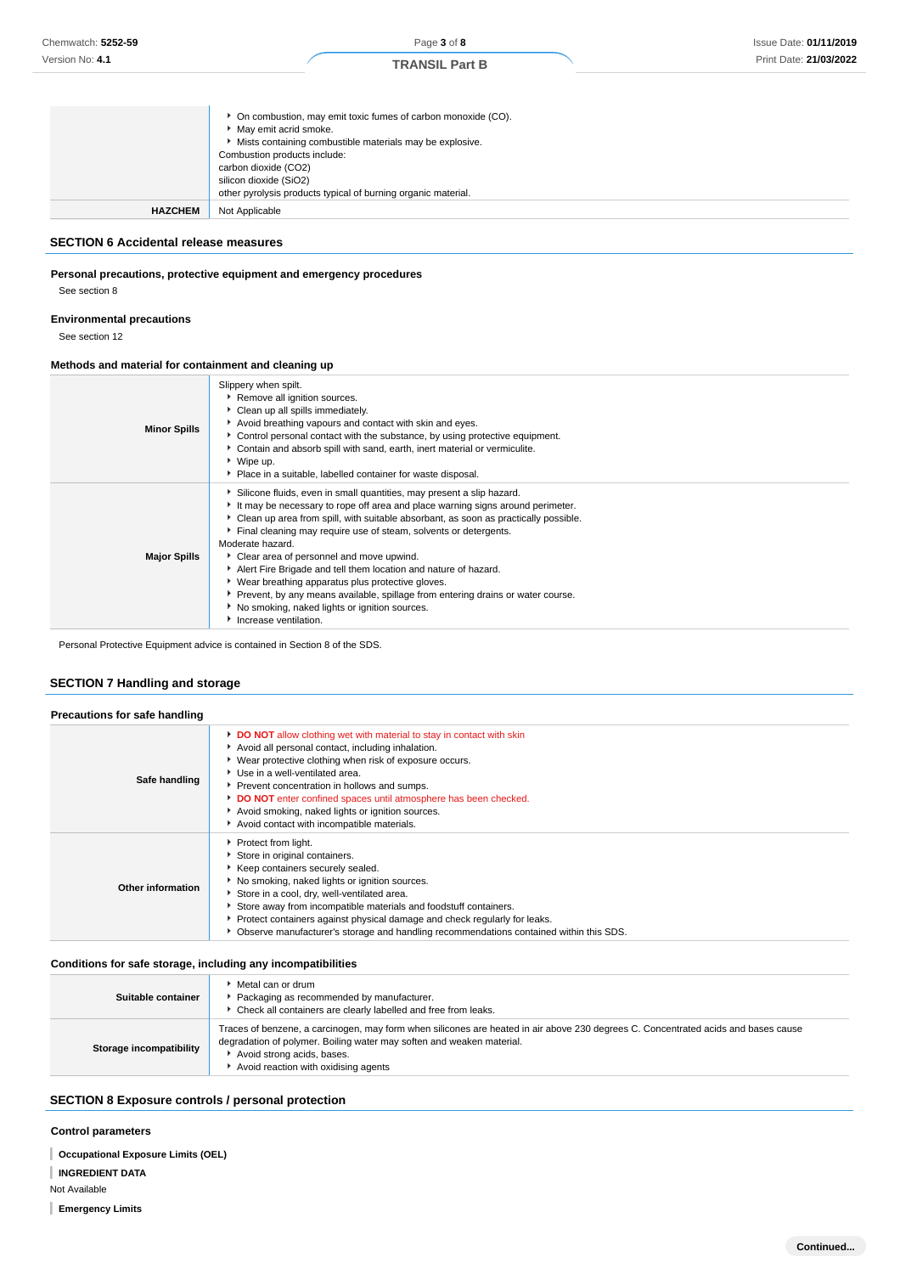|                | • On combustion, may emit toxic fumes of carbon monoxide (CO).<br>May emit acrid smoke.<br>• Mists containing combustible materials may be explosive.<br>Combustion products include:<br>carbon dioxide (CO2)<br>silicon dioxide (SiO2)<br>other pyrolysis products typical of burning organic material. |
|----------------|----------------------------------------------------------------------------------------------------------------------------------------------------------------------------------------------------------------------------------------------------------------------------------------------------------|
| <b>HAZCHEM</b> | Not Applicable                                                                                                                                                                                                                                                                                           |

# **SECTION 6 Accidental release measures**

#### **Personal precautions, protective equipment and emergency procedures**

See section 8

# **Environmental precautions**

See section 12

#### **Methods and material for containment and cleaning up**

| <b>Minor Spills</b> | Slippery when spilt.<br>Remove all ignition sources.<br>Clean up all spills immediately.<br>Avoid breathing vapours and contact with skin and eyes.<br>Control personal contact with the substance, by using protective equipment.<br>Contain and absorb spill with sand, earth, inert material or vermiculite.<br>▶ Wipe up.<br>Place in a suitable, labelled container for waste disposal.                                                                                                                                                                                                                                                                                 |
|---------------------|------------------------------------------------------------------------------------------------------------------------------------------------------------------------------------------------------------------------------------------------------------------------------------------------------------------------------------------------------------------------------------------------------------------------------------------------------------------------------------------------------------------------------------------------------------------------------------------------------------------------------------------------------------------------------|
| <b>Major Spills</b> | Silicone fluids, even in small quantities, may present a slip hazard.<br>It may be necessary to rope off area and place warning signs around perimeter.<br>• Clean up area from spill, with suitable absorbant, as soon as practically possible.<br>Final cleaning may require use of steam, solvents or detergents.<br>Moderate hazard.<br>Clear area of personnel and move upwind.<br>Alert Fire Brigade and tell them location and nature of hazard.<br>▶ Wear breathing apparatus plus protective gloves.<br>▶ Prevent, by any means available, spillage from entering drains or water course.<br>No smoking, naked lights or ignition sources.<br>Increase ventilation. |

Personal Protective Equipment advice is contained in Section 8 of the SDS.

# **SECTION 7 Handling and storage**

| Precautions for safe handling |                                                                                                                                                                                                                                                                                                                                                                                                                                             |
|-------------------------------|---------------------------------------------------------------------------------------------------------------------------------------------------------------------------------------------------------------------------------------------------------------------------------------------------------------------------------------------------------------------------------------------------------------------------------------------|
| Safe handling                 | DO NOT allow clothing wet with material to stay in contact with skin<br>Avoid all personal contact, including inhalation.<br>▶ Wear protective clothing when risk of exposure occurs.<br>Use in a well-ventilated area.<br>Prevent concentration in hollows and sumps.<br>DO NOT enter confined spaces until atmosphere has been checked.<br>Avoid smoking, naked lights or ignition sources.<br>Avoid contact with incompatible materials. |
| Other information             | Protect from light.<br>Store in original containers.<br>Keep containers securely sealed.<br>No smoking, naked lights or ignition sources.<br>Store in a cool, dry, well-ventilated area.<br>Store away from incompatible materials and foodstuff containers.<br>• Protect containers against physical damage and check regularly for leaks.<br>• Observe manufacturer's storage and handling recommendations contained within this SDS.     |

#### **Conditions for safe storage, including any incompatibilities**

| Suitable container      | Metal can or drum<br>Packaging as recommended by manufacturer.<br>Check all containers are clearly labelled and free from leaks.                                                                                                                                                  |
|-------------------------|-----------------------------------------------------------------------------------------------------------------------------------------------------------------------------------------------------------------------------------------------------------------------------------|
| Storage incompatibility | Traces of benzene, a carcinogen, may form when silicones are heated in air above 230 degrees C. Concentrated acids and bases cause<br>degradation of polymer. Boiling water may soften and weaken material.<br>Avoid strong acids, bases.<br>Avoid reaction with oxidising agents |

# **SECTION 8 Exposure controls / personal protection**

#### **Control parameters**

**Occupational Exposure Limits (OEL)**

**INGREDIENT DATA**

Not Available

**Emergency Limits**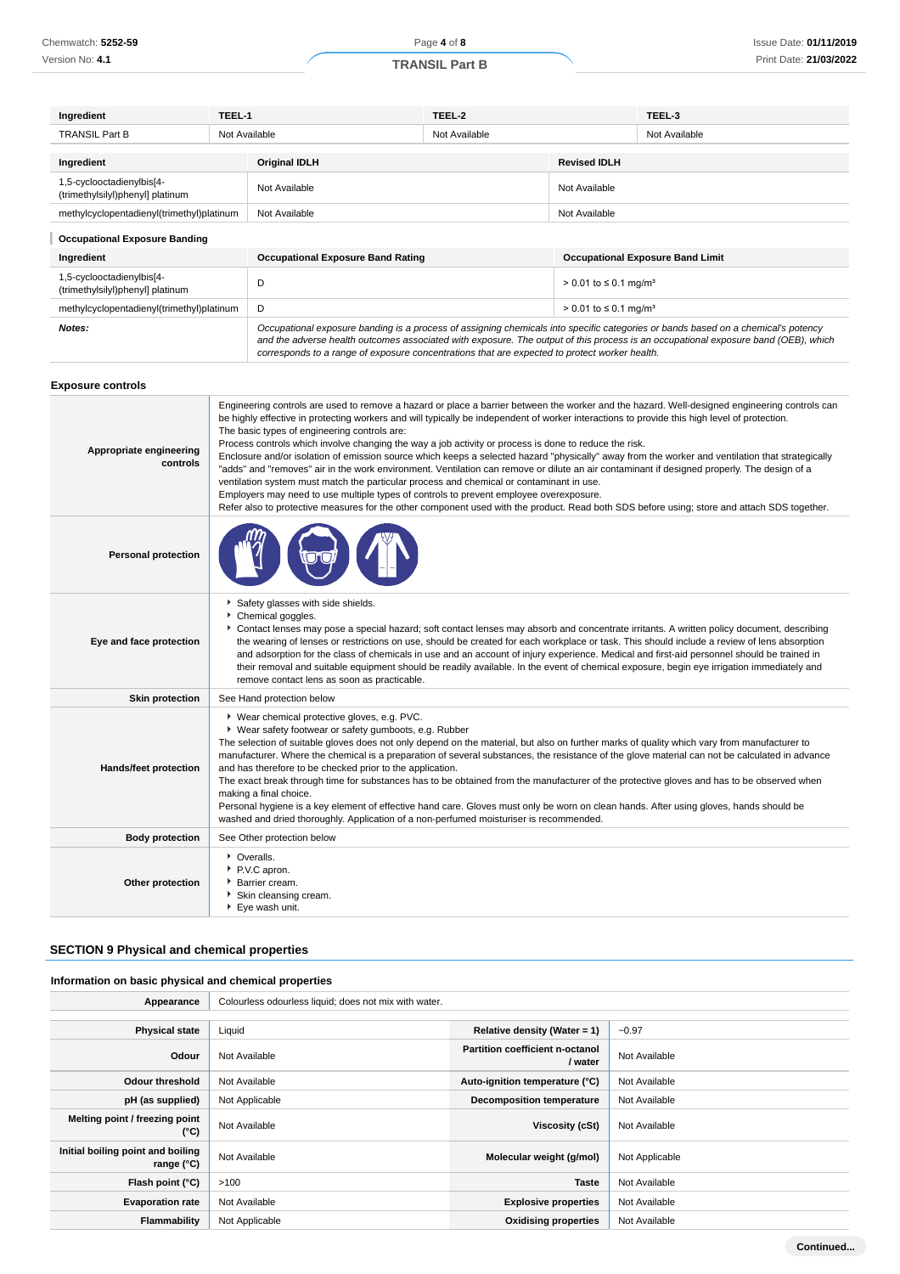| Ingredient                                                    | TEEL-1                                                                                                                                                                                                                                                                                                                                                                                                                                                                                                                                                                                                                                                                                                                                                                                                                                                                                                                                                                                                                                                                                         |                                                                                                                                                                                                                                                                                                                                                                                                                                                                                                                                                                                                                                                                                              | TEEL-2        |                                          | TEEL-3                                                                                                                                                                                                                                                                  |  |
|---------------------------------------------------------------|------------------------------------------------------------------------------------------------------------------------------------------------------------------------------------------------------------------------------------------------------------------------------------------------------------------------------------------------------------------------------------------------------------------------------------------------------------------------------------------------------------------------------------------------------------------------------------------------------------------------------------------------------------------------------------------------------------------------------------------------------------------------------------------------------------------------------------------------------------------------------------------------------------------------------------------------------------------------------------------------------------------------------------------------------------------------------------------------|----------------------------------------------------------------------------------------------------------------------------------------------------------------------------------------------------------------------------------------------------------------------------------------------------------------------------------------------------------------------------------------------------------------------------------------------------------------------------------------------------------------------------------------------------------------------------------------------------------------------------------------------------------------------------------------------|---------------|------------------------------------------|-------------------------------------------------------------------------------------------------------------------------------------------------------------------------------------------------------------------------------------------------------------------------|--|
| <b>TRANSIL Part B</b>                                         | Not Available                                                                                                                                                                                                                                                                                                                                                                                                                                                                                                                                                                                                                                                                                                                                                                                                                                                                                                                                                                                                                                                                                  |                                                                                                                                                                                                                                                                                                                                                                                                                                                                                                                                                                                                                                                                                              | Not Available |                                          | Not Available                                                                                                                                                                                                                                                           |  |
| Ingredient                                                    |                                                                                                                                                                                                                                                                                                                                                                                                                                                                                                                                                                                                                                                                                                                                                                                                                                                                                                                                                                                                                                                                                                | <b>Original IDLH</b>                                                                                                                                                                                                                                                                                                                                                                                                                                                                                                                                                                                                                                                                         |               | <b>Revised IDLH</b>                      |                                                                                                                                                                                                                                                                         |  |
| 1,5-cyclooctadienylbis[4-<br>(trimethylsilyl)phenyl] platinum |                                                                                                                                                                                                                                                                                                                                                                                                                                                                                                                                                                                                                                                                                                                                                                                                                                                                                                                                                                                                                                                                                                | Not Available<br>Not Available                                                                                                                                                                                                                                                                                                                                                                                                                                                                                                                                                                                                                                                               |               |                                          |                                                                                                                                                                                                                                                                         |  |
| methylcyclopentadienyl(trimethyl)platinum                     |                                                                                                                                                                                                                                                                                                                                                                                                                                                                                                                                                                                                                                                                                                                                                                                                                                                                                                                                                                                                                                                                                                | Not Available                                                                                                                                                                                                                                                                                                                                                                                                                                                                                                                                                                                                                                                                                |               | Not Available                            |                                                                                                                                                                                                                                                                         |  |
| <b>Occupational Exposure Banding</b>                          |                                                                                                                                                                                                                                                                                                                                                                                                                                                                                                                                                                                                                                                                                                                                                                                                                                                                                                                                                                                                                                                                                                |                                                                                                                                                                                                                                                                                                                                                                                                                                                                                                                                                                                                                                                                                              |               |                                          |                                                                                                                                                                                                                                                                         |  |
| Ingredient                                                    |                                                                                                                                                                                                                                                                                                                                                                                                                                                                                                                                                                                                                                                                                                                                                                                                                                                                                                                                                                                                                                                                                                | <b>Occupational Exposure Band Rating</b>                                                                                                                                                                                                                                                                                                                                                                                                                                                                                                                                                                                                                                                     |               | <b>Occupational Exposure Band Limit</b>  |                                                                                                                                                                                                                                                                         |  |
| 1,5-cyclooctadienylbis[4-<br>(trimethylsilyl)phenyl] platinum |                                                                                                                                                                                                                                                                                                                                                                                                                                                                                                                                                                                                                                                                                                                                                                                                                                                                                                                                                                                                                                                                                                | D                                                                                                                                                                                                                                                                                                                                                                                                                                                                                                                                                                                                                                                                                            |               | $> 0.01$ to $\leq 0.1$ mg/m <sup>3</sup> |                                                                                                                                                                                                                                                                         |  |
| methylcyclopentadienyl(trimethyl)platinum                     |                                                                                                                                                                                                                                                                                                                                                                                                                                                                                                                                                                                                                                                                                                                                                                                                                                                                                                                                                                                                                                                                                                | D                                                                                                                                                                                                                                                                                                                                                                                                                                                                                                                                                                                                                                                                                            |               | $> 0.01$ to $\leq 0.1$ mg/m <sup>3</sup> |                                                                                                                                                                                                                                                                         |  |
| Notes:                                                        |                                                                                                                                                                                                                                                                                                                                                                                                                                                                                                                                                                                                                                                                                                                                                                                                                                                                                                                                                                                                                                                                                                | corresponds to a range of exposure concentrations that are expected to protect worker health.                                                                                                                                                                                                                                                                                                                                                                                                                                                                                                                                                                                                |               |                                          | Occupational exposure banding is a process of assigning chemicals into specific categories or bands based on a chemical's potency<br>and the adverse health outcomes associated with exposure. The output of this process is an occupational exposure band (OEB), which |  |
| <b>Exposure controls</b>                                      |                                                                                                                                                                                                                                                                                                                                                                                                                                                                                                                                                                                                                                                                                                                                                                                                                                                                                                                                                                                                                                                                                                |                                                                                                                                                                                                                                                                                                                                                                                                                                                                                                                                                                                                                                                                                              |               |                                          |                                                                                                                                                                                                                                                                         |  |
| Appropriate engineering<br>controls                           | Engineering controls are used to remove a hazard or place a barrier between the worker and the hazard. Well-designed engineering controls can<br>be highly effective in protecting workers and will typically be independent of worker interactions to provide this high level of protection.<br>The basic types of engineering controls are:<br>Process controls which involve changing the way a job activity or process is done to reduce the risk.<br>Enclosure and/or isolation of emission source which keeps a selected hazard "physically" away from the worker and ventilation that strategically<br>"adds" and "removes" air in the work environment. Ventilation can remove or dilute an air contaminant if designed properly. The design of a<br>ventilation system must match the particular process and chemical or contaminant in use.<br>Employers may need to use multiple types of controls to prevent employee overexposure.<br>Refer also to protective measures for the other component used with the product. Read both SDS before using; store and attach SDS together. |                                                                                                                                                                                                                                                                                                                                                                                                                                                                                                                                                                                                                                                                                              |               |                                          |                                                                                                                                                                                                                                                                         |  |
| <b>Personal protection</b>                                    |                                                                                                                                                                                                                                                                                                                                                                                                                                                                                                                                                                                                                                                                                                                                                                                                                                                                                                                                                                                                                                                                                                |                                                                                                                                                                                                                                                                                                                                                                                                                                                                                                                                                                                                                                                                                              |               |                                          |                                                                                                                                                                                                                                                                         |  |
| Eye and face protection                                       |                                                                                                                                                                                                                                                                                                                                                                                                                                                                                                                                                                                                                                                                                                                                                                                                                                                                                                                                                                                                                                                                                                | Safety glasses with side shields.<br>Chemical goggles.<br>Contact lenses may pose a special hazard; soft contact lenses may absorb and concentrate irritants. A written policy document, describing<br>the wearing of lenses or restrictions on use, should be created for each workplace or task. This should include a review of lens absorption<br>and adsorption for the class of chemicals in use and an account of injury experience. Medical and first-aid personnel should be trained in<br>their removal and suitable equipment should be readily available. In the event of chemical exposure, begin eye irrigation immediately and<br>remove contact lens as soon as practicable. |               |                                          |                                                                                                                                                                                                                                                                         |  |
| <b>Skin protection</b>                                        |                                                                                                                                                                                                                                                                                                                                                                                                                                                                                                                                                                                                                                                                                                                                                                                                                                                                                                                                                                                                                                                                                                | See Hand protection below                                                                                                                                                                                                                                                                                                                                                                                                                                                                                                                                                                                                                                                                    |               |                                          |                                                                                                                                                                                                                                                                         |  |
| Hands/feet protection                                         | * Wear chemical protective gloves, e.g. PVC.<br>▶ Wear safety footwear or safety gumboots, e.g. Rubber<br>The selection of suitable gloves does not only depend on the material, but also on further marks of quality which vary from manufacturer to<br>manufacturer. Where the chemical is a preparation of several substances, the resistance of the glove material can not be calculated in advance<br>and has therefore to be checked prior to the application.<br>The exact break through time for substances has to be obtained from the manufacturer of the protective gloves and has to be observed when<br>making a final choice.                                                                                                                                                                                                                                                                                                                                                                                                                                                    |                                                                                                                                                                                                                                                                                                                                                                                                                                                                                                                                                                                                                                                                                              |               |                                          |                                                                                                                                                                                                                                                                         |  |

Personal hygiene is a key element of effective hand care. Gloves must only be worn on clean hands. After using gloves, hands should be washed and dried thoroughly. Application of a non-perfumed moisturiser is recommended.

| <b>Body protection</b> | See Other protection below                                                                 |
|------------------------|--------------------------------------------------------------------------------------------|
| Other protection       | • Overalls.<br>P.V.C apron.<br>Barrier cream.<br>Skin cleansing cream.<br>▶ Eye wash unit. |

# **SECTION 9 Physical and chemical properties**

# **Information on basic physical and chemical properties**

| Appearance                                        | Colourless odourless liquid; does not mix with water. |                                                   |                |
|---------------------------------------------------|-------------------------------------------------------|---------------------------------------------------|----------------|
|                                                   |                                                       |                                                   |                |
| <b>Physical state</b>                             | Liquid                                                | Relative density (Water = $1$ )                   | $-0.97$        |
| Odour                                             | Not Available                                         | <b>Partition coefficient n-octanol</b><br>/ water | Not Available  |
| <b>Odour threshold</b>                            | Not Available                                         | Auto-ignition temperature (°C)                    | Not Available  |
| pH (as supplied)                                  | Not Applicable                                        | <b>Decomposition temperature</b>                  | Not Available  |
| Melting point / freezing point<br>(°C)            | Not Available                                         | Viscosity (cSt)                                   | Not Available  |
| Initial boiling point and boiling<br>range $(°C)$ | Not Available                                         | Molecular weight (g/mol)                          | Not Applicable |
| Flash point (°C)                                  | >100                                                  | <b>Taste</b>                                      | Not Available  |
| <b>Evaporation rate</b>                           | Not Available                                         | <b>Explosive properties</b>                       | Not Available  |
| Flammability                                      | Not Applicable                                        | <b>Oxidising properties</b>                       | Not Available  |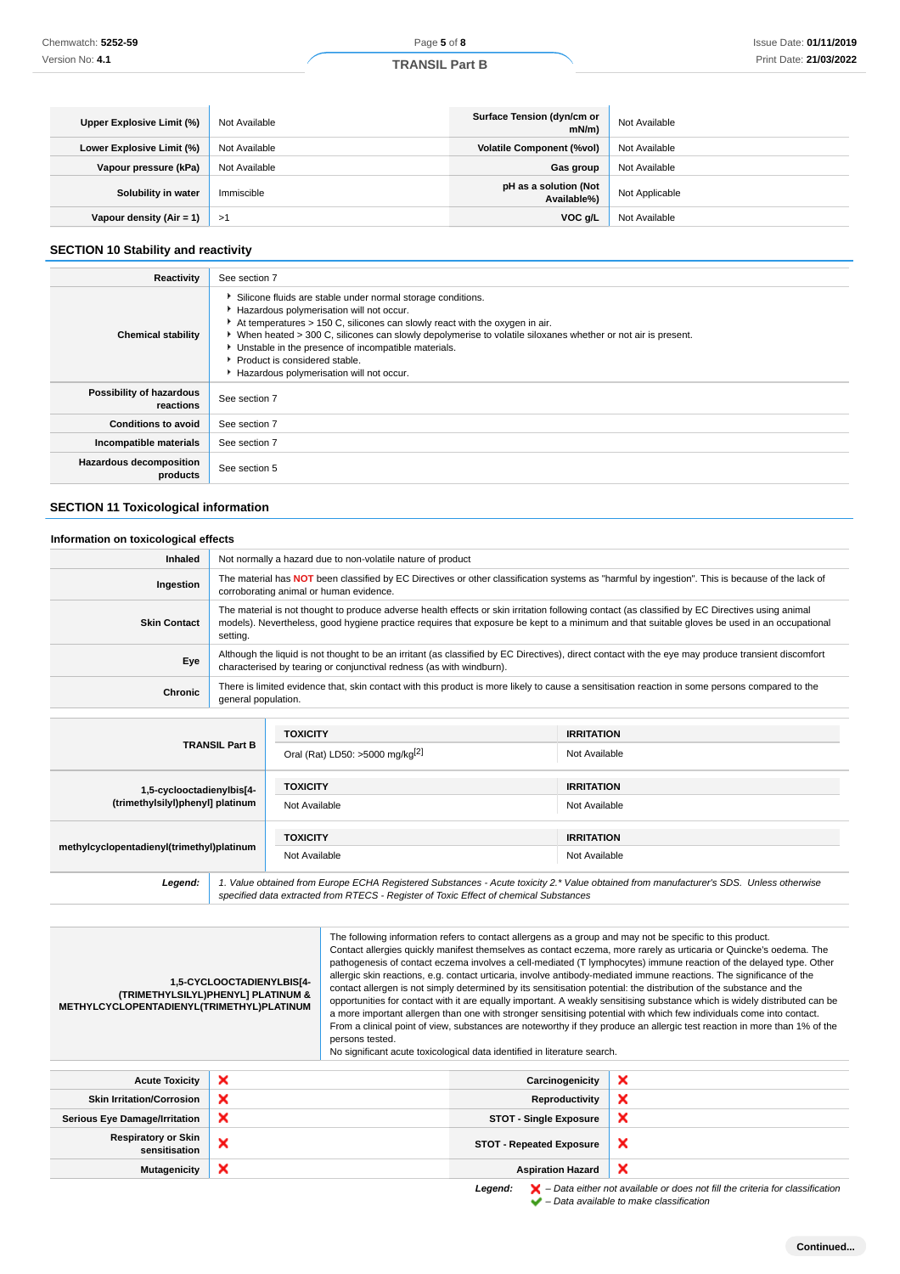| Upper Explosive Limit (%)  | Not Available | Surface Tension (dyn/cm or<br>mN/m   | Not Available  |
|----------------------------|---------------|--------------------------------------|----------------|
| Lower Explosive Limit (%)  | Not Available | <b>Volatile Component (%vol)</b>     | Not Available  |
| Vapour pressure (kPa)      | Not Available | Gas group                            | Not Available  |
| Solubility in water        | Immiscible    | pH as a solution (Not<br>Available%) | Not Applicable |
| Vapour density $(Air = 1)$ | ->1           | VOC g/L                              | Not Available  |

#### **SECTION 10 Stability and reactivity**

| Chemwatch: 5252-59                                                                                                                                                                                                                                                                                                                                                                                                                                                                                                                                                                                                                                                                                                                                                                                                                                                                                                                                                                                                                                                                                                                                                                                     |                               |                                                                                                                                                                                                                                                                                                 | Page 5 of 8                                                                                                                                                                                                                                                                               |                                                                                                               | Issue Date: 01/11/201                                                                                                                           |  |
|--------------------------------------------------------------------------------------------------------------------------------------------------------------------------------------------------------------------------------------------------------------------------------------------------------------------------------------------------------------------------------------------------------------------------------------------------------------------------------------------------------------------------------------------------------------------------------------------------------------------------------------------------------------------------------------------------------------------------------------------------------------------------------------------------------------------------------------------------------------------------------------------------------------------------------------------------------------------------------------------------------------------------------------------------------------------------------------------------------------------------------------------------------------------------------------------------------|-------------------------------|-------------------------------------------------------------------------------------------------------------------------------------------------------------------------------------------------------------------------------------------------------------------------------------------------|-------------------------------------------------------------------------------------------------------------------------------------------------------------------------------------------------------------------------------------------------------------------------------------------|---------------------------------------------------------------------------------------------------------------|-------------------------------------------------------------------------------------------------------------------------------------------------|--|
| Version No: 4.1                                                                                                                                                                                                                                                                                                                                                                                                                                                                                                                                                                                                                                                                                                                                                                                                                                                                                                                                                                                                                                                                                                                                                                                        |                               | <b>TRANSIL Part B</b>                                                                                                                                                                                                                                                                           |                                                                                                                                                                                                                                                                                           | Print Date: 21/03/202                                                                                         |                                                                                                                                                 |  |
|                                                                                                                                                                                                                                                                                                                                                                                                                                                                                                                                                                                                                                                                                                                                                                                                                                                                                                                                                                                                                                                                                                                                                                                                        |                               |                                                                                                                                                                                                                                                                                                 |                                                                                                                                                                                                                                                                                           |                                                                                                               |                                                                                                                                                 |  |
|                                                                                                                                                                                                                                                                                                                                                                                                                                                                                                                                                                                                                                                                                                                                                                                                                                                                                                                                                                                                                                                                                                                                                                                                        |                               |                                                                                                                                                                                                                                                                                                 |                                                                                                                                                                                                                                                                                           |                                                                                                               |                                                                                                                                                 |  |
| Upper Explosive Limit (%)                                                                                                                                                                                                                                                                                                                                                                                                                                                                                                                                                                                                                                                                                                                                                                                                                                                                                                                                                                                                                                                                                                                                                                              | Not Available                 |                                                                                                                                                                                                                                                                                                 |                                                                                                                                                                                                                                                                                           | Surface Tension (dyn/cm or<br>$mN/m$ )                                                                        | Not Available                                                                                                                                   |  |
| Lower Explosive Limit (%)                                                                                                                                                                                                                                                                                                                                                                                                                                                                                                                                                                                                                                                                                                                                                                                                                                                                                                                                                                                                                                                                                                                                                                              | Not Available                 |                                                                                                                                                                                                                                                                                                 |                                                                                                                                                                                                                                                                                           | <b>Volatile Component (%vol)</b>                                                                              | Not Available                                                                                                                                   |  |
| Vapour pressure (kPa)                                                                                                                                                                                                                                                                                                                                                                                                                                                                                                                                                                                                                                                                                                                                                                                                                                                                                                                                                                                                                                                                                                                                                                                  | Not Available                 |                                                                                                                                                                                                                                                                                                 |                                                                                                                                                                                                                                                                                           | Gas group                                                                                                     | Not Available                                                                                                                                   |  |
| Solubility in water                                                                                                                                                                                                                                                                                                                                                                                                                                                                                                                                                                                                                                                                                                                                                                                                                                                                                                                                                                                                                                                                                                                                                                                    | Immiscible                    |                                                                                                                                                                                                                                                                                                 |                                                                                                                                                                                                                                                                                           | pH as a solution (Not<br>Available%)                                                                          | Not Applicable                                                                                                                                  |  |
| Vapour density $(Air = 1)$                                                                                                                                                                                                                                                                                                                                                                                                                                                                                                                                                                                                                                                                                                                                                                                                                                                                                                                                                                                                                                                                                                                                                                             | >1                            | VOC g/L<br>Not Available                                                                                                                                                                                                                                                                        |                                                                                                                                                                                                                                                                                           |                                                                                                               |                                                                                                                                                 |  |
|                                                                                                                                                                                                                                                                                                                                                                                                                                                                                                                                                                                                                                                                                                                                                                                                                                                                                                                                                                                                                                                                                                                                                                                                        |                               |                                                                                                                                                                                                                                                                                                 |                                                                                                                                                                                                                                                                                           |                                                                                                               |                                                                                                                                                 |  |
| <b>SECTION 10 Stability and reactivity</b>                                                                                                                                                                                                                                                                                                                                                                                                                                                                                                                                                                                                                                                                                                                                                                                                                                                                                                                                                                                                                                                                                                                                                             |                               |                                                                                                                                                                                                                                                                                                 |                                                                                                                                                                                                                                                                                           |                                                                                                               |                                                                                                                                                 |  |
| <b>Reactivity</b>                                                                                                                                                                                                                                                                                                                                                                                                                                                                                                                                                                                                                                                                                                                                                                                                                                                                                                                                                                                                                                                                                                                                                                                      | See section 7                 |                                                                                                                                                                                                                                                                                                 |                                                                                                                                                                                                                                                                                           |                                                                                                               |                                                                                                                                                 |  |
| <b>Chemical stability</b>                                                                                                                                                                                                                                                                                                                                                                                                                                                                                                                                                                                                                                                                                                                                                                                                                                                                                                                                                                                                                                                                                                                                                                              | Product is considered stable. |                                                                                                                                                                                                                                                                                                 | Silicone fluids are stable under normal storage conditions.<br>Hazardous polymerisation will not occur.<br>At temperatures > 150 C, silicones can slowly react with the oxygen in air.<br>Unstable in the presence of incompatible materials.<br>Hazardous polymerisation will not occur. | ▶ When heated > 300 C, silicones can slowly depolymerise to volatile siloxanes whether or not air is present. |                                                                                                                                                 |  |
| Possibility of hazardous<br>reactions                                                                                                                                                                                                                                                                                                                                                                                                                                                                                                                                                                                                                                                                                                                                                                                                                                                                                                                                                                                                                                                                                                                                                                  | See section 7                 |                                                                                                                                                                                                                                                                                                 |                                                                                                                                                                                                                                                                                           |                                                                                                               |                                                                                                                                                 |  |
| <b>Conditions to avoid</b>                                                                                                                                                                                                                                                                                                                                                                                                                                                                                                                                                                                                                                                                                                                                                                                                                                                                                                                                                                                                                                                                                                                                                                             | See section 7                 |                                                                                                                                                                                                                                                                                                 |                                                                                                                                                                                                                                                                                           |                                                                                                               |                                                                                                                                                 |  |
| Incompatible materials                                                                                                                                                                                                                                                                                                                                                                                                                                                                                                                                                                                                                                                                                                                                                                                                                                                                                                                                                                                                                                                                                                                                                                                 | See section 7                 |                                                                                                                                                                                                                                                                                                 |                                                                                                                                                                                                                                                                                           |                                                                                                               |                                                                                                                                                 |  |
| <b>Hazardous decomposition</b>                                                                                                                                                                                                                                                                                                                                                                                                                                                                                                                                                                                                                                                                                                                                                                                                                                                                                                                                                                                                                                                                                                                                                                         | See section 5                 |                                                                                                                                                                                                                                                                                                 |                                                                                                                                                                                                                                                                                           |                                                                                                               |                                                                                                                                                 |  |
| products                                                                                                                                                                                                                                                                                                                                                                                                                                                                                                                                                                                                                                                                                                                                                                                                                                                                                                                                                                                                                                                                                                                                                                                               |                               |                                                                                                                                                                                                                                                                                                 |                                                                                                                                                                                                                                                                                           |                                                                                                               |                                                                                                                                                 |  |
| <b>SECTION 11 Toxicological information</b>                                                                                                                                                                                                                                                                                                                                                                                                                                                                                                                                                                                                                                                                                                                                                                                                                                                                                                                                                                                                                                                                                                                                                            |                               |                                                                                                                                                                                                                                                                                                 |                                                                                                                                                                                                                                                                                           |                                                                                                               |                                                                                                                                                 |  |
|                                                                                                                                                                                                                                                                                                                                                                                                                                                                                                                                                                                                                                                                                                                                                                                                                                                                                                                                                                                                                                                                                                                                                                                                        |                               |                                                                                                                                                                                                                                                                                                 |                                                                                                                                                                                                                                                                                           |                                                                                                               |                                                                                                                                                 |  |
| Information on toxicological effects<br>Inhaled                                                                                                                                                                                                                                                                                                                                                                                                                                                                                                                                                                                                                                                                                                                                                                                                                                                                                                                                                                                                                                                                                                                                                        |                               |                                                                                                                                                                                                                                                                                                 | Not normally a hazard due to non-volatile nature of product                                                                                                                                                                                                                               |                                                                                                               |                                                                                                                                                 |  |
|                                                                                                                                                                                                                                                                                                                                                                                                                                                                                                                                                                                                                                                                                                                                                                                                                                                                                                                                                                                                                                                                                                                                                                                                        |                               |                                                                                                                                                                                                                                                                                                 |                                                                                                                                                                                                                                                                                           |                                                                                                               | The material has NOT been classified by EC Directives or other classification systems as "harmful by ingestion". This is because of the lack of |  |
| Ingestion                                                                                                                                                                                                                                                                                                                                                                                                                                                                                                                                                                                                                                                                                                                                                                                                                                                                                                                                                                                                                                                                                                                                                                                              |                               | corroborating animal or human evidence.                                                                                                                                                                                                                                                         |                                                                                                                                                                                                                                                                                           |                                                                                                               |                                                                                                                                                 |  |
| <b>Skin Contact</b>                                                                                                                                                                                                                                                                                                                                                                                                                                                                                                                                                                                                                                                                                                                                                                                                                                                                                                                                                                                                                                                                                                                                                                                    | setting.                      | The material is not thought to produce adverse health effects or skin irritation following contact (as classified by EC Directives using animal<br>models). Nevertheless, good hygiene practice requires that exposure be kept to a minimum and that suitable gloves be used in an occupational |                                                                                                                                                                                                                                                                                           |                                                                                                               |                                                                                                                                                 |  |
| Eye                                                                                                                                                                                                                                                                                                                                                                                                                                                                                                                                                                                                                                                                                                                                                                                                                                                                                                                                                                                                                                                                                                                                                                                                    |                               | Although the liquid is not thought to be an irritant (as classified by EC Directives), direct contact with the eye may produce transient discomfort<br>characterised by tearing or conjunctival redness (as with windburn).                                                                     |                                                                                                                                                                                                                                                                                           |                                                                                                               |                                                                                                                                                 |  |
| Chronic                                                                                                                                                                                                                                                                                                                                                                                                                                                                                                                                                                                                                                                                                                                                                                                                                                                                                                                                                                                                                                                                                                                                                                                                |                               |                                                                                                                                                                                                                                                                                                 |                                                                                                                                                                                                                                                                                           |                                                                                                               | There is limited evidence that, skin contact with this product is more likely to cause a sensitisation reaction in some persons compared to the |  |
|                                                                                                                                                                                                                                                                                                                                                                                                                                                                                                                                                                                                                                                                                                                                                                                                                                                                                                                                                                                                                                                                                                                                                                                                        | general population.           |                                                                                                                                                                                                                                                                                                 |                                                                                                                                                                                                                                                                                           |                                                                                                               |                                                                                                                                                 |  |
|                                                                                                                                                                                                                                                                                                                                                                                                                                                                                                                                                                                                                                                                                                                                                                                                                                                                                                                                                                                                                                                                                                                                                                                                        |                               | <b>TOXICITY</b>                                                                                                                                                                                                                                                                                 |                                                                                                                                                                                                                                                                                           | <b>IRRITATION</b>                                                                                             |                                                                                                                                                 |  |
|                                                                                                                                                                                                                                                                                                                                                                                                                                                                                                                                                                                                                                                                                                                                                                                                                                                                                                                                                                                                                                                                                                                                                                                                        | <b>TRANSIL Part B</b>         |                                                                                                                                                                                                                                                                                                 | Oral (Rat) LD50: >5000 mg/kg <sup>[2]</sup><br>Not Available                                                                                                                                                                                                                              |                                                                                                               |                                                                                                                                                 |  |
|                                                                                                                                                                                                                                                                                                                                                                                                                                                                                                                                                                                                                                                                                                                                                                                                                                                                                                                                                                                                                                                                                                                                                                                                        |                               |                                                                                                                                                                                                                                                                                                 |                                                                                                                                                                                                                                                                                           |                                                                                                               |                                                                                                                                                 |  |
| 1,5-cyclooctadienylbis[4-                                                                                                                                                                                                                                                                                                                                                                                                                                                                                                                                                                                                                                                                                                                                                                                                                                                                                                                                                                                                                                                                                                                                                                              |                               | <b>TOXICITY</b>                                                                                                                                                                                                                                                                                 | <b>IRRITATION</b>                                                                                                                                                                                                                                                                         |                                                                                                               |                                                                                                                                                 |  |
| (trimethylsilyl)phenyl] platinum                                                                                                                                                                                                                                                                                                                                                                                                                                                                                                                                                                                                                                                                                                                                                                                                                                                                                                                                                                                                                                                                                                                                                                       |                               | Not Available                                                                                                                                                                                                                                                                                   |                                                                                                                                                                                                                                                                                           | Not Available                                                                                                 |                                                                                                                                                 |  |
|                                                                                                                                                                                                                                                                                                                                                                                                                                                                                                                                                                                                                                                                                                                                                                                                                                                                                                                                                                                                                                                                                                                                                                                                        |                               | <b>TOXICITY</b>                                                                                                                                                                                                                                                                                 |                                                                                                                                                                                                                                                                                           | <b>IRRITATION</b>                                                                                             |                                                                                                                                                 |  |
| methylcyclopentadienyl(trimethyl)platinum                                                                                                                                                                                                                                                                                                                                                                                                                                                                                                                                                                                                                                                                                                                                                                                                                                                                                                                                                                                                                                                                                                                                                              |                               | Not Available                                                                                                                                                                                                                                                                                   |                                                                                                                                                                                                                                                                                           | Not Available                                                                                                 |                                                                                                                                                 |  |
| Legend:                                                                                                                                                                                                                                                                                                                                                                                                                                                                                                                                                                                                                                                                                                                                                                                                                                                                                                                                                                                                                                                                                                                                                                                                |                               |                                                                                                                                                                                                                                                                                                 |                                                                                                                                                                                                                                                                                           | specified data extracted from RTECS - Register of Toxic Effect of chemical Substances                         | 1. Value obtained from Europe ECHA Registered Substances - Acute toxicity 2.* Value obtained from manufacturer's SDS. Unless otherwise          |  |
|                                                                                                                                                                                                                                                                                                                                                                                                                                                                                                                                                                                                                                                                                                                                                                                                                                                                                                                                                                                                                                                                                                                                                                                                        |                               |                                                                                                                                                                                                                                                                                                 |                                                                                                                                                                                                                                                                                           |                                                                                                               |                                                                                                                                                 |  |
| The following information refers to contact allergens as a group and may not be specific to this product.<br>Contact allergies quickly manifest themselves as contact eczema, more rarely as urticaria or Quincke's oedema. The<br>pathogenesis of contact eczema involves a cell-mediated (T lymphocytes) immune reaction of the delayed type. Other<br>allergic skin reactions, e.g. contact urticaria, involve antibody-mediated immune reactions. The significance of the<br>1,5-CYCLOOCTADIENYLBIS[4-<br>contact allergen is not simply determined by its sensitisation potential: the distribution of the substance and the<br>(TRIMETHYLSILYL)PHENYL] PLATINUM &<br>opportunities for contact with it are equally important. A weakly sensitising substance which is widely distributed can be<br>METHYLCYCLOPENTADIENYL(TRIMETHYL)PLATINUM<br>a more important allergen than one with stronger sensitising potential with which few individuals come into contact.<br>From a clinical point of view, substances are noteworthy if they produce an allergic test reaction in more than 1% of the<br>persons tested.<br>No significant acute toxicological data identified in literature search. |                               |                                                                                                                                                                                                                                                                                                 |                                                                                                                                                                                                                                                                                           |                                                                                                               |                                                                                                                                                 |  |
| ×<br><b>Acute Toxicity</b><br>Carcinogenicity                                                                                                                                                                                                                                                                                                                                                                                                                                                                                                                                                                                                                                                                                                                                                                                                                                                                                                                                                                                                                                                                                                                                                          |                               |                                                                                                                                                                                                                                                                                                 | ×                                                                                                                                                                                                                                                                                         |                                                                                                               |                                                                                                                                                 |  |
| <b>Skin Irritation/Corrosion</b>                                                                                                                                                                                                                                                                                                                                                                                                                                                                                                                                                                                                                                                                                                                                                                                                                                                                                                                                                                                                                                                                                                                                                                       | ×                             |                                                                                                                                                                                                                                                                                                 |                                                                                                                                                                                                                                                                                           | <b>Reproductivity</b>                                                                                         | ×                                                                                                                                               |  |
| <b>Serious Eye Damage/Irritation</b>                                                                                                                                                                                                                                                                                                                                                                                                                                                                                                                                                                                                                                                                                                                                                                                                                                                                                                                                                                                                                                                                                                                                                                   | ×                             |                                                                                                                                                                                                                                                                                                 |                                                                                                                                                                                                                                                                                           | <b>STOT - Single Exposure</b>                                                                                 | ×                                                                                                                                               |  |
| <b>Respiratory or Skin</b><br>sensitisation                                                                                                                                                                                                                                                                                                                                                                                                                                                                                                                                                                                                                                                                                                                                                                                                                                                                                                                                                                                                                                                                                                                                                            | ×                             |                                                                                                                                                                                                                                                                                                 |                                                                                                                                                                                                                                                                                           | <b>STOT - Repeated Exposure</b>                                                                               | x                                                                                                                                               |  |
| <b>Mutagenicity</b>                                                                                                                                                                                                                                                                                                                                                                                                                                                                                                                                                                                                                                                                                                                                                                                                                                                                                                                                                                                                                                                                                                                                                                                    |                               |                                                                                                                                                                                                                                                                                                 | <b>Aspiration Hazard</b>                                                                                                                                                                                                                                                                  | ×                                                                                                             |                                                                                                                                                 |  |

# **SECTION 11 Toxicological information**

# **Information on toxicological effects**

| <b>Inhaled</b>      | Not normally a hazard due to non-volatile nature of product                                                                                                                                                                                                                                                 |
|---------------------|-------------------------------------------------------------------------------------------------------------------------------------------------------------------------------------------------------------------------------------------------------------------------------------------------------------|
| Ingestion           | The material has NOT been classified by EC Directives or other classification systems as "harmful by ingestion". This is because of the lack of<br>corroborating animal or human evidence.                                                                                                                  |
| <b>Skin Contact</b> | The material is not thought to produce adverse health effects or skin irritation following contact (as classified by EC Directives using animal<br>models). Nevertheless, good hygiene practice requires that exposure be kept to a minimum and that suitable gloves be used in an occupational<br>setting. |
| Eye                 | Although the liquid is not thought to be an irritant (as classified by EC Directives), direct contact with the eye may produce transient discomfort<br>characterised by tearing or conjunctival redness (as with windburn).                                                                                 |
| <b>Chronic</b>      | There is limited evidence that, skin contact with this product is more likely to cause a sensitisation reaction in some persons compared to the<br>general population.                                                                                                                                      |

| <b>TRANSIL Part B</b>                                         | <b>TOXICITY</b><br>Oral (Rat) LD50: >5000 mg/kg <sup>[2]</sup>                                                                     | <b>IRRITATION</b><br>Not Available |  |  |
|---------------------------------------------------------------|------------------------------------------------------------------------------------------------------------------------------------|------------------------------------|--|--|
| 1,5-cyclooctadienylbis[4-<br>(trimethylsilyl)phenyl] platinum | <b>TOXICITY</b><br>Not Available                                                                                                   | <b>IRRITATION</b><br>Not Available |  |  |
| methylcyclopentadienyl(trimethyl)platinum                     | <b>TOXICITY</b><br>Not Available                                                                                                   | <b>IRRITATION</b><br>Not Available |  |  |
| ' ogond'                                                      | Value obtained from Europe ECHA Peqistered Substances - Acute toxicity 2 * Value obtained from manufacturer's SDS Haless otherwise |                                    |  |  |

| <b>Acute Toxicity</b>                       | × | Carcinogenicity                 | $\boldsymbol{\mathsf{x}}$ |
|---------------------------------------------|---|---------------------------------|---------------------------|
| <b>Skin Irritation/Corrosion</b>            | × | Reproductivity                  | $\boldsymbol{\mathsf{x}}$ |
| <b>Serious Eye Damage/Irritation</b>        | × | <b>STOT - Single Exposure</b>   | $\boldsymbol{\times}$     |
| <b>Respiratory or Skin</b><br>sensitisation | × | <b>STOT - Repeated Exposure</b> | $\boldsymbol{\mathsf{x}}$ |
| <b>Mutagenicity</b>                         | × | <b>Aspiration Hazard</b>        | $\boldsymbol{\mathsf{x}}$ |
|                                             |   |                                 |                           |

Legend:  $\blacktriangleright$  - Data either not available or does not fill the criteria for classification

 $\blacktriangleright$  – Data available to make classification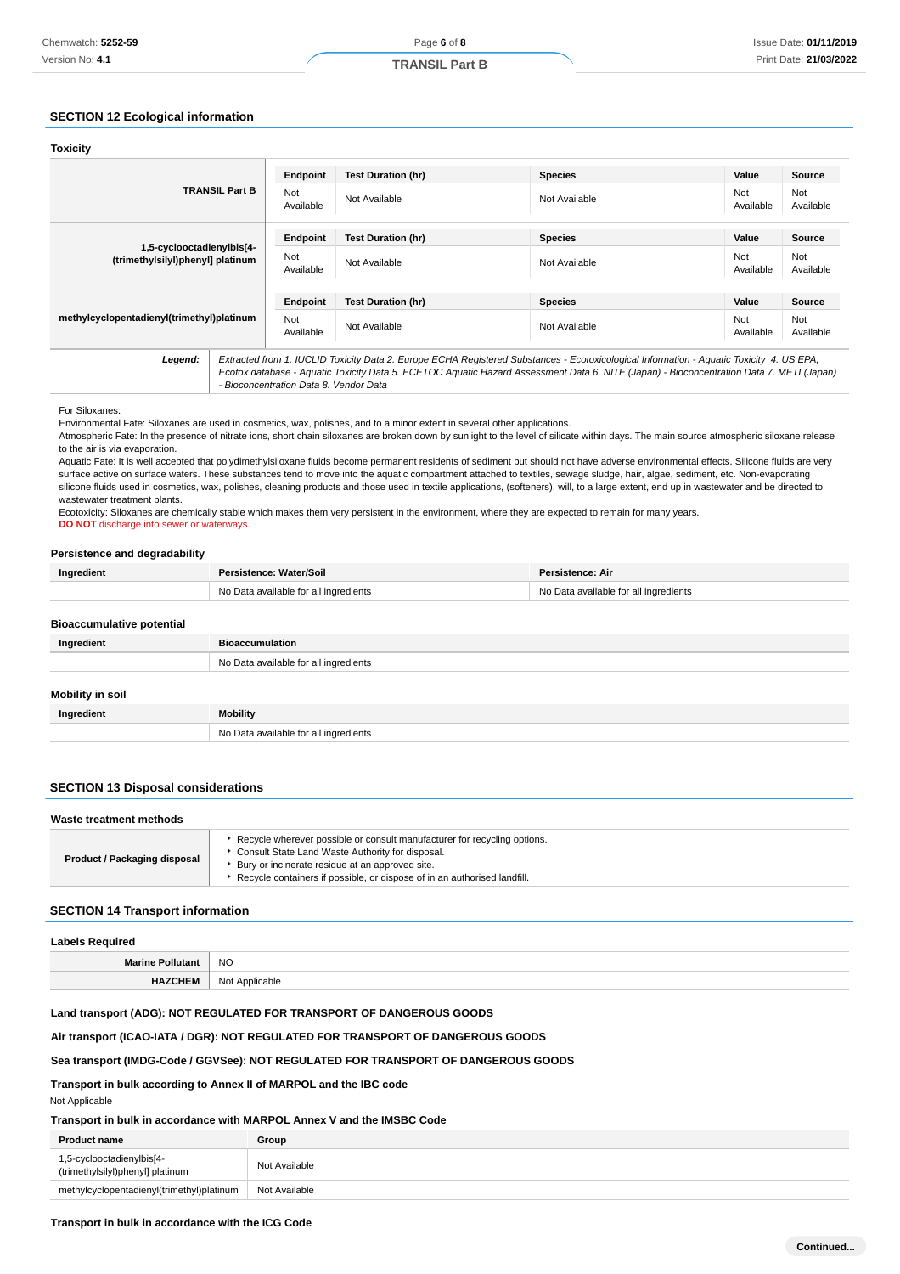# **SECTION 12 Ecological information**

| <b>Toxicity</b>                                               |                                                                                                                                                                                                                                                                                                                                |                  |                           |                |                  |                  |
|---------------------------------------------------------------|--------------------------------------------------------------------------------------------------------------------------------------------------------------------------------------------------------------------------------------------------------------------------------------------------------------------------------|------------------|---------------------------|----------------|------------------|------------------|
| <b>TRANSIL Part B</b>                                         |                                                                                                                                                                                                                                                                                                                                | Endpoint         | <b>Test Duration (hr)</b> | <b>Species</b> | Value            | <b>Source</b>    |
|                                                               |                                                                                                                                                                                                                                                                                                                                | Not<br>Available | Not Available             | Not Available  | Not<br>Available | Not<br>Available |
|                                                               |                                                                                                                                                                                                                                                                                                                                | Endpoint         | <b>Test Duration (hr)</b> | <b>Species</b> | Value            | <b>Source</b>    |
| 1,5-cyclooctadienylbis[4-<br>(trimethylsilyl)phenyl] platinum |                                                                                                                                                                                                                                                                                                                                | Not<br>Available | Not Available             | Not Available  | Not<br>Available | Not<br>Available |
|                                                               |                                                                                                                                                                                                                                                                                                                                | Endpoint         | <b>Test Duration (hr)</b> | <b>Species</b> | Value            | <b>Source</b>    |
| methylcyclopentadienyl(trimethyl)platinum                     |                                                                                                                                                                                                                                                                                                                                | Not<br>Available | Not Available             | Not Available  | Not<br>Available | Not<br>Available |
| Legend:                                                       | Extracted from 1. IUCLID Toxicity Data 2. Europe ECHA Registered Substances - Ecotoxicological Information - Aquatic Toxicity 4. US EPA,<br>Ecotox database - Aquatic Toxicity Data 5. ECETOC Aquatic Hazard Assessment Data 6. NITE (Japan) - Bioconcentration Data 7. METI (Japan)<br>- Bioconcentration Data 8. Vendor Data |                  |                           |                |                  |                  |

For Siloxanes:

Environmental Fate: Siloxanes are used in cosmetics, wax, polishes, and to a minor extent in several other applications.

Atmospheric Fate: In the presence of nitrate ions, short chain siloxanes are broken down by sunlight to the level of silicate within days. The main source atmospheric siloxane release to the air is via evaporation.

Aquatic Fate: It is well accepted that polydimethylsiloxane fluids become permanent residents of sediment but should not have adverse environmental effects. Silicone fluids are very surface active on surface waters. These substances tend to move into the aquatic compartment attached to textiles, sewage sludge, hair, algae, sediment, etc. Non-evaporating silicone fluids used in cosmetics, wax, polishes, cleaning products and those used in textile applications, (softeners), will, to a large extent, end up in wastewater and be directed to wastewater treatment plants.

Ecotoxicity: Siloxanes are chemically stable which makes them very persistent in the environment, where they are expected to remain for many years.

**DO NOT** discharge into sewer or waterways

#### **Persistence and degradability**

| Ingredient                       | Persistence: Water/Soil               | Persistence: Air                      |
|----------------------------------|---------------------------------------|---------------------------------------|
|                                  | No Data available for all ingredients | No Data available for all ingredients |
| <b>Bioaccumulative potential</b> |                                       |                                       |
| Ingredient                       | <b>Bioaccumulation</b>                |                                       |
|                                  | No Data available for all ingredients |                                       |
| Mobility in soil                 |                                       |                                       |
| Ingredient                       | <b>Mobility</b>                       |                                       |

# **SECTION 13 Disposal considerations**

| Waste treatment methods             |                                                                                                                                                                                                                                                             |  |
|-------------------------------------|-------------------------------------------------------------------------------------------------------------------------------------------------------------------------------------------------------------------------------------------------------------|--|
| <b>Product / Packaging disposal</b> | Recycle wherever possible or consult manufacturer for recycling options.<br>Consult State Land Waste Authority for disposal.<br>Bury or incinerate residue at an approved site.<br>Recycle containers if possible, or dispose of in an authorised landfill. |  |

#### **SECTION 14 Transport information**

| <b>Labels Required</b>  |                |  |
|-------------------------|----------------|--|
| <b>Marine Pollutant</b> | <b>NO</b>      |  |
| <b>HAZCHEM</b>          | Not Applicable |  |

#### **Land transport (ADG): NOT REGULATED FOR TRANSPORT OF DANGEROUS GOODS**

#### **Air transport (ICAO-IATA / DGR): NOT REGULATED FOR TRANSPORT OF DANGEROUS GOODS**

No Data available for all ingredients

#### **Sea transport (IMDG-Code / GGVSee): NOT REGULATED FOR TRANSPORT OF DANGEROUS GOODS**

**Transport in bulk according to Annex II of MARPOL and the IBC code**

Not Applicable

# **Transport in bulk in accordance with MARPOL Annex V and the IMSBC Code**

| <b>Product name</b>                                           | Group         |
|---------------------------------------------------------------|---------------|
| 1,5-cyclooctadienylbis[4-<br>(trimethylsilyl)phenyl] platinum | Not Available |
| methylcyclopentadienyl(trimethyl)platinum                     | Not Available |

#### **Transport in bulk in accordance with the ICG Code**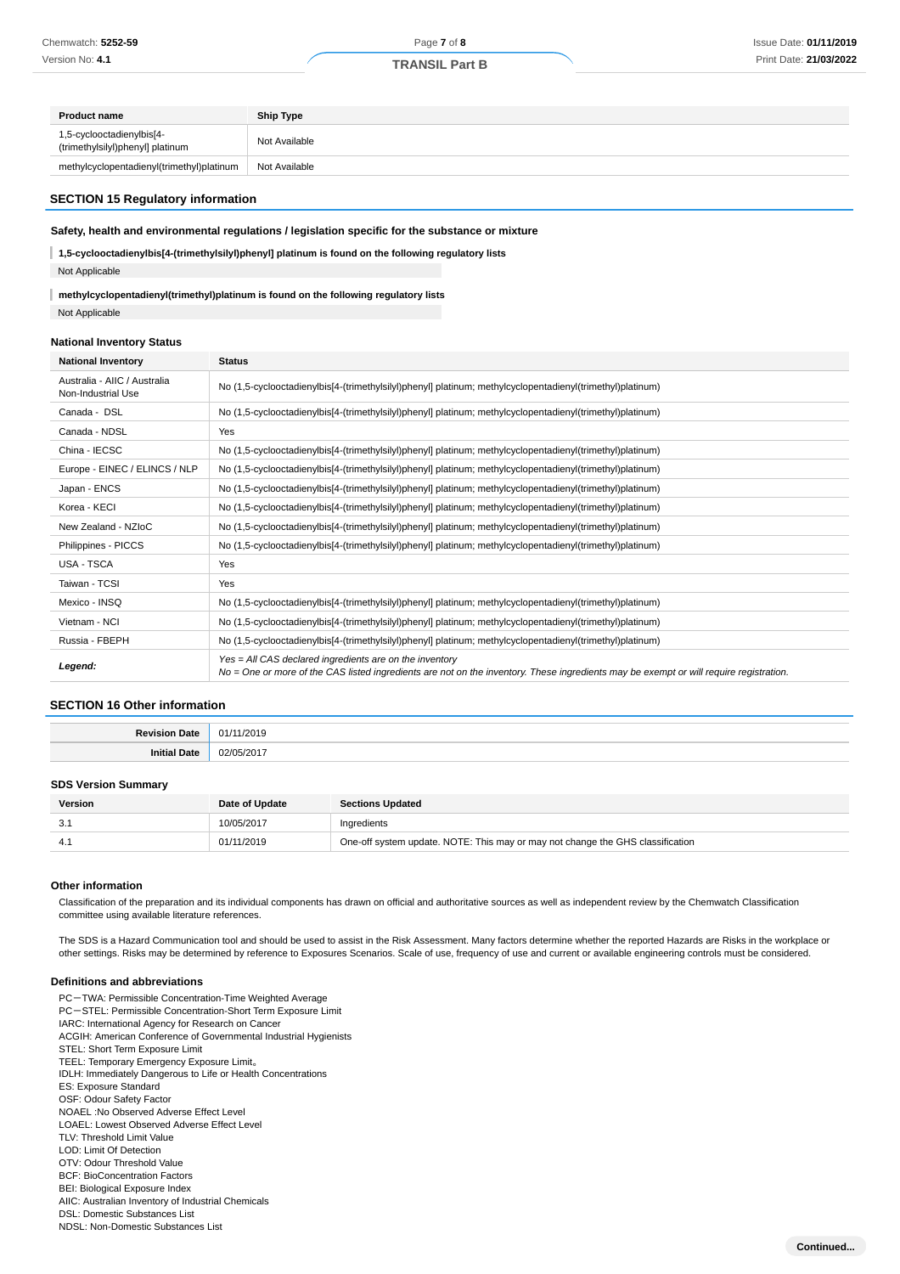| <b>Product name</b>                                           | <b>Ship Type</b> |
|---------------------------------------------------------------|------------------|
| 1,5-cyclooctadienylbis[4-<br>(trimethylsilyl)phenyl] platinum | Not Available    |
| methylcyclopentadienyl(trimethyl)platinum                     | Not Available    |

#### **SECTION 15 Regulatory information**

#### **Safety, health and environmental regulations / legislation specific for the substance or mixture**

**1,5-cyclooctadienylbis[4-(trimethylsilyl)phenyl] platinum is found on the following regulatory lists** Not Applicable

**methylcyclopentadienyl(trimethyl)platinum is found on the following regulatory lists** Not Applicable

#### **National Inventory Status**

| <b>National Inventory</b>                          | <b>Status</b>                                                                                                                                                                                     |  |  |
|----------------------------------------------------|---------------------------------------------------------------------------------------------------------------------------------------------------------------------------------------------------|--|--|
| Australia - AIIC / Australia<br>Non-Industrial Use | No (1,5-cyclooctadienylbis[4-(trimethylsilyl)phenyl] platinum; methylcyclopentadienyl(trimethyl)platinum)                                                                                         |  |  |
| Canada - DSL                                       | No (1,5-cyclooctadienylbis[4-(trimethylsilyl)phenyl] platinum; methylcyclopentadienyl(trimethyl)platinum)                                                                                         |  |  |
| Canada - NDSL                                      | Yes                                                                                                                                                                                               |  |  |
| China - IECSC                                      | No (1,5-cyclooctadienylbis[4-(trimethylsilyl)phenyl] platinum; methylcyclopentadienyl(trimethyl)platinum)                                                                                         |  |  |
| Europe - EINEC / ELINCS / NLP                      | No (1,5-cyclooctadienylbis[4-(trimethylsilyl)phenyl] platinum; methylcyclopentadienyl(trimethyl)platinum)                                                                                         |  |  |
| Japan - ENCS                                       | No (1,5-cyclooctadienylbis[4-(trimethylsilyl)phenyl] platinum; methylcyclopentadienyl(trimethyl)platinum)                                                                                         |  |  |
| Korea - KECI                                       | No (1,5-cyclooctadienylbis[4-(trimethylsilyl)phenyl] platinum; methylcyclopentadienyl(trimethyl)platinum)                                                                                         |  |  |
| New Zealand - NZIoC                                | No (1,5-cyclooctadienylbis[4-(trimethylsilyl)phenyl] platinum; methylcyclopentadienyl(trimethyl)platinum)                                                                                         |  |  |
| Philippines - PICCS                                | No (1,5-cyclooctadienylbis[4-(trimethylsilyl)phenyl] platinum; methylcyclopentadienyl(trimethyl)platinum)                                                                                         |  |  |
| USA - TSCA                                         | Yes                                                                                                                                                                                               |  |  |
| Taiwan - TCSI                                      | Yes                                                                                                                                                                                               |  |  |
| Mexico - INSQ                                      | No (1,5-cyclooctadienylbis[4-(trimethylsilyl)phenyl] platinum; methylcyclopentadienyl(trimethyl)platinum)                                                                                         |  |  |
| Vietnam - NCI                                      | No (1,5-cyclooctadienylbis[4-(trimethylsilyl)phenyl] platinum; methylcyclopentadienyl(trimethyl)platinum)                                                                                         |  |  |
| Russia - FBEPH                                     | No (1,5-cyclooctadienylbis[4-(trimethylsilyl)phenyl] platinum; methylcyclopentadienyl(trimethyl)platinum)                                                                                         |  |  |
| Legend:                                            | Yes = All CAS declared ingredients are on the inventory<br>No = One or more of the CAS listed ingredients are not on the inventory. These ingredients may be exempt or will require registration. |  |  |

#### **SECTION 16 Other information**

| п. | . .<br>.             |
|----|----------------------|
|    | $\sim$<br>$\sqrt{2}$ |

#### **SDS Version Summary**

| Version | Date of Update | <b>Sections Updated</b>                                                        |
|---------|----------------|--------------------------------------------------------------------------------|
| v.      | 10/05/2017     | Ingredients                                                                    |
|         | 01/11/2019     | One-off system update. NOTE: This may or may not change the GHS classification |

#### **Other information**

Classification of the preparation and its individual components has drawn on official and authoritative sources as well as independent review by the Chemwatch Classification committee using available literature references.

The SDS is a Hazard Communication tool and should be used to assist in the Risk Assessment. Many factors determine whether the reported Hazards are Risks in the workplace or other settings. Risks may be determined by reference to Exposures Scenarios. Scale of use, frequency of use and current or available engineering controls must be considered.

#### **Definitions and abbreviations**

- PC-TWA: Permissible Concentration-Time Weighted Average PC-STEL: Permissible Concentration-Short Term Exposure Limit IARC: International Agency for Research on Cancer ACGIH: American Conference of Governmental Industrial Hygienists STEL: Short Term Exposure Limit TEEL: Temporary Emergency Exposure Limit。 IDLH: Immediately Dangerous to Life or Health Concentrations ES: Exposure Standard OSF: Odour Safety Factor NOAEL :No Observed Adverse Effect Level LOAEL: Lowest Observed Adverse Effect Level TLV: Threshold Limit Value LOD: Limit Of Detection OTV: Odour Threshold Value BCF: BioConcentration Factors BEI: Biological Exposure Index AIIC: Australian Inventory of Industrial Chemicals DSL: Domestic Substances List
- NDSL: Non-Domestic Substances List